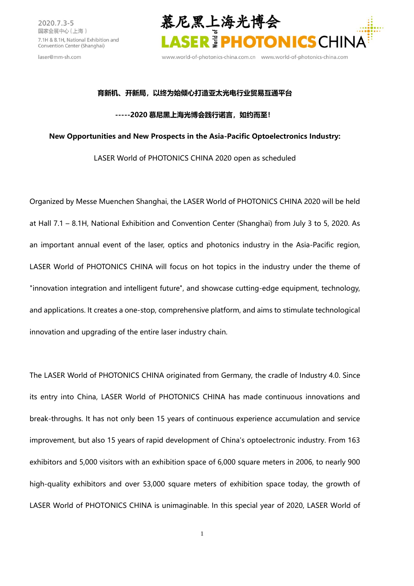laser@mm-sh.com



www.world-of-photonics-china.com.cn www.world-of-photonics-china.com

#### **育新机、开新局,以终为始倾心打造亚太光电行业贸易互通平台**

#### **-----2020 [慕尼黑上海光博会践行诺言,如约而至!](http://www.world-of-photonics-china.com.cn/zh-cn/visitor/register.html?ad_code=DAurPeoHvt)**

### **New Opportunities and New Prospects in the Asia-Pacific Optoelectronics Industry:**

## LASER World of PHOTONICS CHINA 2020 open as scheduled

Organized by Messe Muenchen Shanghai, the LASER World of PHOTONICS CHINA 2020 will be held at Hall 7.1 – 8.1H, National Exhibition and Convention Center (Shanghai) from July 3 to 5, 2020. As an important annual event of the laser, optics and photonics industry in the Asia-Pacific region, LASER World of PHOTONICS CHINA will focus on hot topics in the industry under the theme of "innovation integration and intelligent future", and showcase cutting-edge equipment, technology, and applications. It creates a one-stop, comprehensive platform, and aims to stimulate technological innovation and upgrading of the entire laser industry chain.

The LASER World of PHOTONICS CHINA originated from Germany, the cradle of Industry 4.0. Since its entry into China, LASER World of PHOTONICS CHINA has made continuous innovations and break-throughs. It has not only been 15 years of continuous experience accumulation and service improvement, but also 15 years of rapid development of China's optoelectronic industry. From 163 exhibitors and 5,000 visitors with an exhibition space of 6,000 square meters in 2006, to nearly 900 high-quality exhibitors and over 53,000 square meters of exhibition space today, the growth of LASER World of PHOTONICS CHINA is unimaginable. In this special year of 2020, LASER World of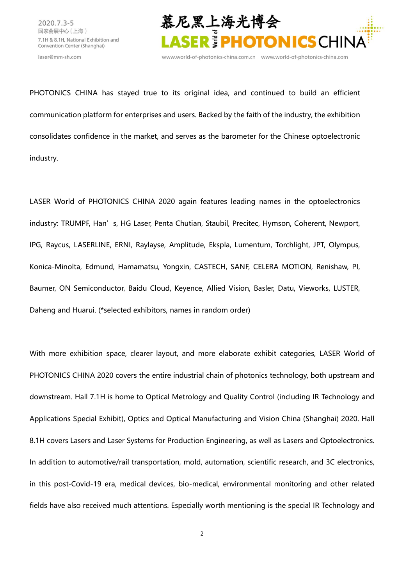laser@mm-sh.com



www.world-of-photonics-china.com.cn www.world-of-photonics-china.com

PHOTONICS CHINA has stayed true to its original idea, and continued to build an efficient communication platform for enterprises and users. Backed by the faith of the industry, the exhibition consolidates confidence in the market, and serves as the barometer for the Chinese optoelectronic industry.

LASER World of PHOTONICS CHINA 2020 again features leading names in the optoelectronics industry: TRUMPF, Han's, HG Laser, Penta Chutian, Staubil, Precitec, Hymson, Coherent, Newport, IPG, Raycus, LASERLINE, ERNI, Raylayse, Amplitude, Ekspla, Lumentum, Torchlight, JPT, Olympus, Konica-Minolta, Edmund, Hamamatsu, Yongxin, CASTECH, SANF, CELERA MOTION, Renishaw, PI, Baumer, ON Semiconductor, Baidu Cloud, Keyence, Allied Vision, Basler, Datu, Vieworks, LUSTER, Daheng and Huarui. (\*selected exhibitors, names in random order)

With more exhibition space, clearer layout, and more elaborate exhibit categories, LASER World of PHOTONICS CHINA 2020 covers the entire industrial chain of photonics technology, both upstream and downstream. Hall 7.1H is home to Optical Metrology and Quality Control (including IR Technology and Applications Special Exhibit), Optics and Optical Manufacturing and Vision China (Shanghai) 2020. Hall 8.1H covers Lasers and Laser Systems for Production Engineering, as well as Lasers and Optoelectronics. In addition to automotive/rail transportation, mold, automation, scientific research, and 3C electronics, in this post-Covid-19 era, medical devices, bio-medical, environmental monitoring and other related fields have also received much attentions. Especially worth mentioning is the special IR Technology and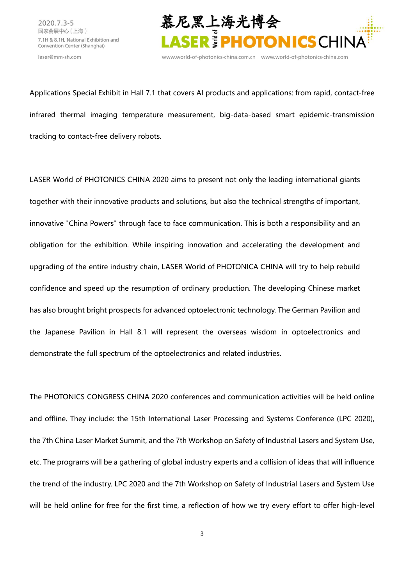



www.world-of-photonics-china.com.cn www.world-of-photonics-china.com

Applications Special Exhibit in Hall 7.1 that covers AI products and applications: from rapid, contact-free infrared thermal imaging temperature measurement, big-data-based smart epidemic-transmission tracking to contact-free delivery robots.

LASER World of PHOTONICS CHINA 2020 aims to present not only the leading international giants together with their innovative products and solutions, but also the technical strengths of important, innovative "China Powers" through face to face communication. This is both a responsibility and an obligation for the exhibition. While inspiring innovation and accelerating the development and upgrading of the entire industry chain, LASER World of PHOTONICA CHINA will try to help rebuild confidence and speed up the resumption of ordinary production. The developing Chinese market has also brought bright prospects for advanced optoelectronic technology. The German Pavilion and the Japanese Pavilion in Hall 8.1 will represent the overseas wisdom in optoelectronics and demonstrate the full spectrum of the optoelectronics and related industries.

The PHOTONICS CONGRESS CHINA 2020 conferences and communication activities will be held online and offline. They include: the 15th International Laser Processing and Systems Conference (LPC 2020), the 7th China Laser Market Summit, and the 7th Workshop on Safety of Industrial Lasers and System Use, etc. The programs will be a gathering of global industry experts and a collision of ideas that will influence the trend of the industry. LPC 2020 and the 7th Workshop on Safety of Industrial Lasers and System Use will be held online for free for the first time, a reflection of how we try every effort to offer high-level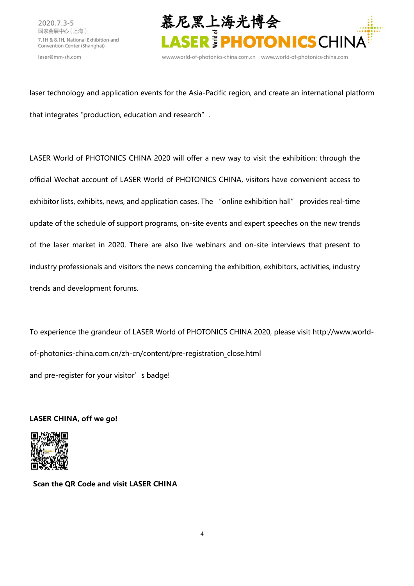laser@mm-sh.com



www.world-of-photonics-china.com.cn www.world-of-photonics-china.com

laser technology and application events for the Asia-Pacific region, and create an international platform that integrates "production, education and research".

LASER World of PHOTONICS CHINA 2020 will offer a new way to visit the exhibition: through the official Wechat account of LASER World of PHOTONICS CHINA, visitors have convenient access to exhibitor lists, exhibits, news, and application cases. The "online exhibition hall" provides real-time update of the schedule of support programs, on-site events and expert speeches on the new trends of the laser market in 2020. There are also live webinars and on-site interviews that present to industry professionals and visitors the news concerning the exhibition, exhibitors, activities, industry trends and development forums.

To experience the grandeur of LASER World of PHOTONICS CHINA 2020, please visit [http://www.world](http://www.world-of-photonics-china.com.cn/zh-cn/content/pre-registration_close.html)[of-photonics-china.com.cn/zh-cn/content/pre-registration\\_close.html](http://www.world-of-photonics-china.com.cn/zh-cn/content/pre-registration_close.html) and pre-register for your visitor's badge!

# **LASER CHINA, off we go!**



**Scan the QR Code and visit LASER CHINA**